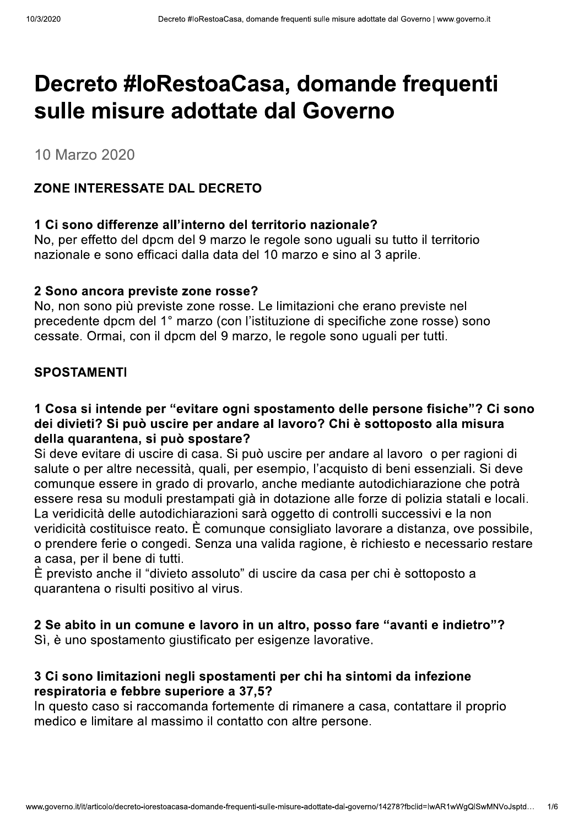## Decreto #loRestoaCasa, domande frequenti sulle misure adottate dal Governo

10 Marzo 2020

#### ZONE INTERESSATE DAL DECRETO

#### 1 Ci sono differenze all'interno del territorio nazionale?

No, per effetto del dpcm del 9 marzo le regole sono uguali su tutto il territorio nazionale e sono efficaci dalla data del 10 marzo e sino al 3 aprile.

#### 2 Sono ancora previste zone rosse?

No, non sono più previste zone rosse. Le limitazioni che erano previste nel precedente dpcm del 1° marzo (con l'istituzione di specifiche zone rosse) sono cessate. Ormai, con il dpcm del 9 marzo, le regole sono uguali per tutti.

#### **SPOSTAMENTI**

#### 1 Cosa si intende per "evitare ogni spostamento delle persone fisiche"? Ci sono dei divieti? Si può uscire per andare al lavoro? Chi è sottoposto alla misura della quarantena, si può spostare?

Si deve evitare di uscire di casa. Si può uscire per andare al lavoro o per ragioni di salute o per altre necessità, quali, per esempio, l'acquisto di beni essenziali. Si deve comunque essere in grado di provarlo, anche mediante autodichiarazione che potrà essere resa su moduli prestampati già in dotazione alle forze di polizia statali e locali. La veridicità delle autodichiarazioni sarà oggetto di controlli successivi e la non veridicità costituisce reato. È comunque consigliato lavorare a distanza, ove possibile, o prendere ferie o congedi. Senza una valida ragione, è richiesto e necessario restare a casa, per il bene di tutti.

È previsto anche il "divieto assoluto" di uscire da casa per chi è sottoposto a quarantena o risulti positivo al virus.

#### 2 Se abito in un comune e lavoro in un altro, posso fare "avanti e indietro"?

Sì, è uno spostamento giustificato per esigenze lavorative.

#### 3 Ci sono limitazioni negli spostamenti per chi ha sintomi da infezione respiratoria e febbre superiore a 37,5?

In questo caso si raccomanda fortemente di rimanere a casa, contattare il proprio medico e limitare al massimo il contatto con altre persone.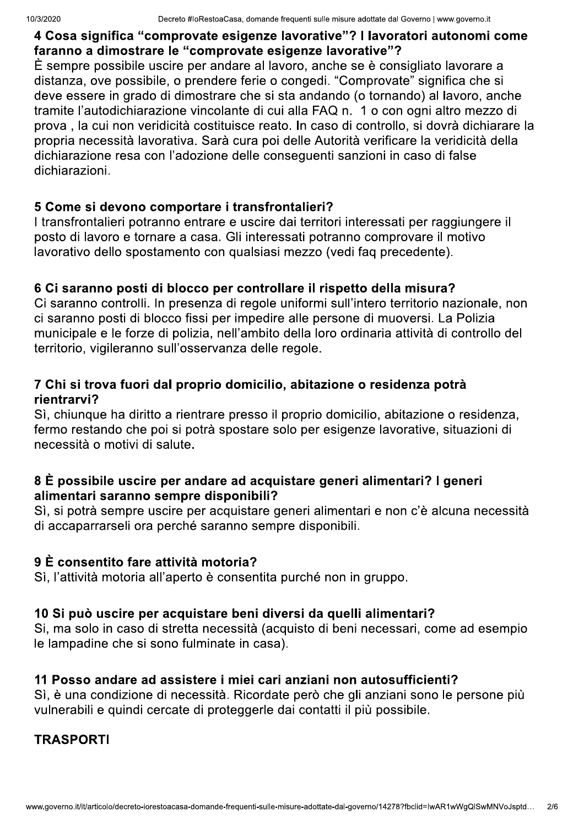#### 4 Cosa significa "comprovate esigenze lavorative"? I lavoratori autonomi come faranno a dimostrare le "comprovate esigenze lavorative"?

È sempre possibile uscire per andare al lavoro, anche se è consigliato lavorare a distanza, ove possibile, o prendere ferie o congedi. "Comprovate" significa che si deve essere in grado di dimostrare che si sta andando (o tornando) al lavoro, anche tramite l'autodichiarazione vincolante di cui alla FAQ n. 1 o con ogni altro mezzo di prova . la cui non veridicità costituisce reato. In caso di controllo, si dovrà dichiarare la propria necessità lavorativa. Sarà cura poi delle Autorità verificare la veridicità della dichiarazione resa con l'adozione delle consequenti sanzioni in caso di false dichiarazioni.

#### 5 Come si devono comportare i transfrontalieri?

I transfrontalieri potranno entrare e uscire dai territori interessati per raggiungere il posto di lavoro e tornare a casa. Gli interessati potranno comprovare il motivo lavorativo dello spostamento con qualsiasi mezzo (vedi faq precedente).

#### 6 Ci saranno posti di blocco per controllare il rispetto della misura?

Ci saranno controlli. In presenza di regole uniformi sull'intero territorio nazionale, non ci saranno posti di blocco fissi per impedire alle persone di muoversi. La Polizia municipale e le forze di polizia, nell'ambito della loro ordinaria attività di controllo del territorio, vigileranno sull'osservanza delle regole.

#### 7 Chi si trova fuori dal proprio domicilio, abitazione o residenza potrà rientrarvi?

Sì, chiunque ha diritto a rientrare presso il proprio domicilio, abitazione o residenza, fermo restando che poi si potrà spostare solo per esigenze lavorative, situazioni di necessità o motivi di salute.

#### 8 È possibile uscire per andare ad acquistare generi alimentari? I generi alimentari saranno sempre disponibili?

Sì, si potrà sempre uscire per acquistare generi alimentari e non c'è alcuna necessità di accaparrarseli ora perché saranno sempre disponibili.

## 9 È consentito fare attività motoria?

Sì, l'attività motoria all'aperto è consentita purché non in gruppo.

## 10 Si può uscire per acquistare beni diversi da quelli alimentari?

Si, ma solo in caso di stretta necessità (acquisto di beni necessari, come ad esempio le lampadine che si sono fulminate in casa).

#### 11 Posso andare ad assistere i miei cari anziani non autosufficienti?

Sì, è una condizione di necessità. Ricordate però che gli anziani sono le persone più vulnerabili e quindi cercate di proteggerle dai contatti il più possibile.

#### **TRASPORTI**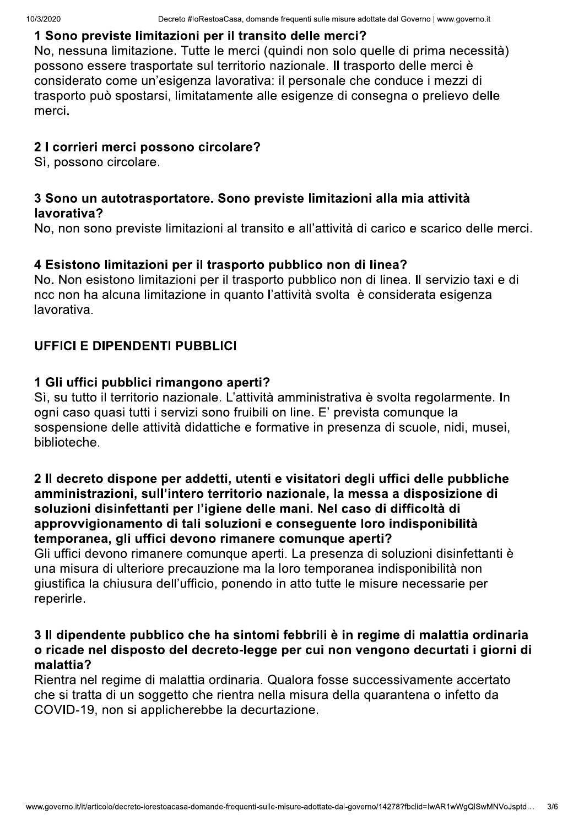No, nessuna limitazione. Tutte le merci (quindi non solo quelle di prima necessita) possono essere trasportate sul territorio nazionale. Il trasporto delle merci e considerato come un esigenza lavorativa: il personale che conduce i mezzi di trasporto puo spostarsi, ilmitatamente alle esigenze di consegna o prellevo delle 1 **Sono previste ilmitazioni per il transito delle merci** *?*<br>No, nessuna limitazione. Tutte le merci (quindi non solo qu<br>possono essere trasportate sul territorio nazionale. Il trasp<br>considerato come un'esigenza lavorativ

#### 2 I corrieri merci possono circolare?

SI, possono circola

# 3 Sono un autotrasportatore. Sono previste limitazioni alla mia attivita<br><mark>lavorativa?</mark><br>No, non sono previste limitazioni al transito e all'attività di carico e scarico delle merci.

No. Non esistono ilmitazioni per il trasporto pubblico non di linea. Il servizio taxi e di ncc non na alcuna limitazione in quanto i attivita svolta e considerata esigenza lavorativa. 4 Esistono limitazioni per il trasporto pubblico non di linea?<br>No. Non esistono limitazioni per il trasporto pubblico non di linea.<br>ncc non ha alcuna limitazione in quanto l'attività svolta è conside<br>lavorativa.

#### UFFICI E DIPENDENTI PUBBLICI

SI, su tutto il territorio nazionale. L'attività amministrativa e svolta regolarmente. In ogni caso quasi tutti i servizi sono fruibili on line. E prevista comunque la sospensione delle attività didattiche e formative in presenza di scuole, nidi, musel, biblioteche. **1 Gil urrici pubblici rimangono aperti?**<br>Sì, su tutto il territorio nazionale. L'attività<br>ogni caso quasi tutti i servizi sono fruibili d<br>sospensione delle attività didattiche e forr<br>biblioteche.

# z il decreto dispone per addetti, utenti e visitatori degli urrici delle pubbliche<br>amministrazioni, sull'intero territorio nazionale, la messa a disposizione di<br>soluzioni disinfettanti per l'igiene delle mani. Nel caso di

Gil uffici devono rimanere comunque aperti. La presenza di soluzioni disinfettanti e una misura di ulteriore precauzione ma la loro temporanea indisponibilità non una misura di uiteriore precauzione ma la loro temporanea indisponibilità non<br>giustifica la chiusura dell'ufficio, ponendo in atto tutte le misure necessarie per

# 3 Il dipendente pubblico che ha sintomi febbrili è in regime di malattia ordinaria<br>o ricade nel disposto del decreto-legge per cui non vengono decurtati i giorni di<br>malattia?

Rientra nei regime di malattia ordinaria. Qualora fosse successivamente accertato che si tratta di un soggetto che rientra nella misura della quarantena o infetto da COVID-19, non si applicherebbe la decurtazion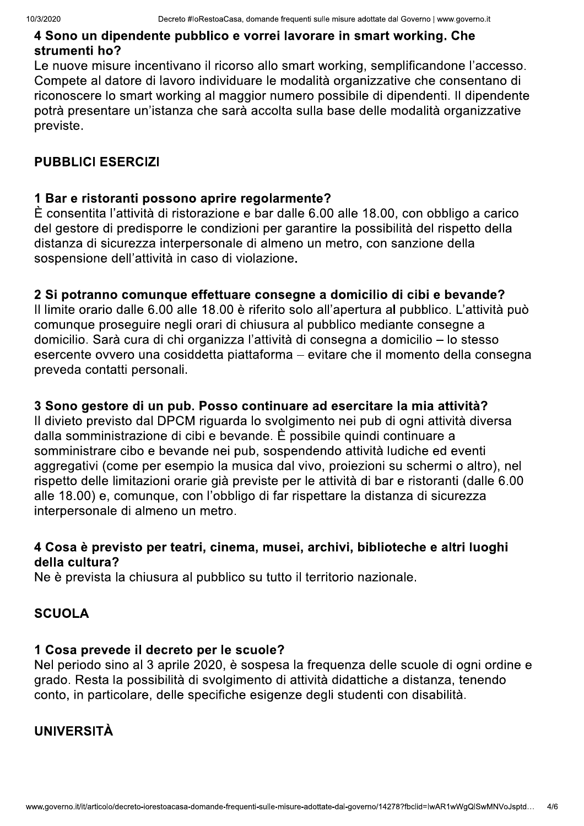#### 4 Sono un dipendente pubblico e vorrei lavorare in smart working. Che strumenti ho?

Le nuove misure incentivano il ricorso allo smart working, semplificandone l'accesso. Compete al datore di lavoro individuare le modalità organizzative che consentano di riconoscere lo smart working al maggior numero possibile di dipendenti. Il dipendente potrà presentare un'istanza che sarà accolta sulla base delle modalità organizzative previste.

#### **PUBBLICI ESERCIZI**

#### 1 Bar e ristoranti possono aprire regolarmente?

È consentita l'attività di ristorazione e bar dalle 6.00 alle 18.00, con obbligo a carico del gestore di predisporre le condizioni per garantire la possibilità del rispetto della distanza di sicurezza interpersonale di almeno un metro, con sanzione della sospensione dell'attività in caso di violazione.

#### 2 Si potranno comunque effettuare consegne a domicilio di cibi e bevande?

Il limite orario dalle 6.00 alle 18.00 è riferito solo all'apertura al pubblico. L'attività può comunque proseguire negli orari di chiusura al pubblico mediante consegne a domicilio. Sarà cura di chi organizza l'attività di consegna a domicilio – lo stesso esercente ovvero una cosiddetta piattaforma – evitare che il momento della consegna preveda contatti personali.

#### 3 Sono gestore di un pub. Posso continuare ad esercitare la mia attività?

Il divieto previsto dal DPCM riguarda lo svolgimento nei pub di ogni attività diversa dalla somministrazione di cibi e bevande. È possibile quindi continuare a somministrare cibo e bevande nei pub, sospendendo attività ludiche ed eventi aggregativi (come per esempio la musica dal vivo, proiezioni su schermi o altro), nel rispetto delle limitazioni orarie già previste per le attività di bar e ristoranti (dalle 6.00 alle 18.00) e, comunque, con l'obbligo di far rispettare la distanza di sicurezza interpersonale di almeno un metro.

#### 4 Cosa è previsto per teatri, cinema, musei, archivi, biblioteche e altri luoghi della cultura?

Ne è prevista la chiusura al pubblico su tutto il territorio nazionale.

#### **SCUOLA**

#### 1 Cosa prevede il decreto per le scuole?

Nel periodo sino al 3 aprile 2020, è sospesa la freguenza delle scuole di ogni ordine e grado. Resta la possibilità di svolgimento di attività didattiche a distanza, tenendo conto, in particolare, delle specifiche esigenze degli studenti con disabilità.

#### **UNIVERSITÀ**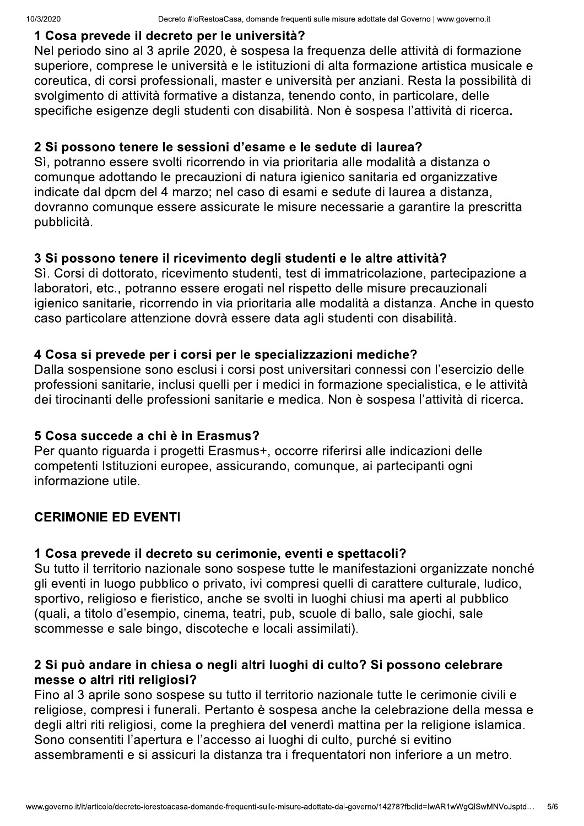#### 1 Cosa prevede il decreto per le università?

Nel periodo sino al 3 aprile 2020, è sospesa la freguenza delle attività di formazione superiore, comprese le università e le istituzioni di alta formazione artistica musicale e coreutica, di corsi professionali, master e università per anziani. Resta la possibilità di svolgimento di attività formative a distanza, tenendo conto, in particolare, delle specifiche esigenze degli studenti con disabilità. Non è sospesa l'attività di ricerca.

#### 2 Si possono tenere le sessioni d'esame e le sedute di laurea?

Sì, potranno essere svolti ricorrendo in via prioritaria alle modalità a distanza o comunque adottando le precauzioni di natura igienico sanitaria ed organizzative indicate dal dpcm del 4 marzo; nel caso di esami e sedute di laurea a distanza, dovranno comunque essere assicurate le misure necessarie a garantire la prescritta pubblicità.

#### 3 Si possono tenere il ricevimento degli studenti e le altre attività?

Sì. Corsi di dottorato, ricevimento studenti, test di immatricolazione, partecipazione a laboratori, etc., potranno essere erogati nel rispetto delle misure precauzionali igienico sanitarie, ricorrendo in via prioritaria alle modalità a distanza. Anche in questo caso particolare attenzione dovrà essere data agli studenti con disabilità.

#### 4 Cosa si prevede per i corsi per le specializzazioni mediche?

Dalla sospensione sono esclusi i corsi post universitari connessi con l'esercizio delle professioni sanitarie, inclusi quelli per i medici in formazione specialistica, e le attività dei tirocinanti delle professioni sanitarie e medica. Non è sospesa l'attività di ricerca.

#### 5 Cosa succede a chi è in Erasmus?

Per quanto riguarda i progetti Erasmus+, occorre riferirsi alle indicazioni delle competenti Istituzioni europee, assicurando, comunque, ai partecipanti ogni informazione utile.

#### **CERIMONIE ED EVENTI**

#### 1 Cosa prevede il decreto su cerimonie, eventi e spettacoli?

Su tutto il territorio nazionale sono sospese tutte le manifestazioni organizzate nonché gli eventi in luogo pubblico o privato, ivi compresi quelli di carattere culturale, ludico, sportivo, religioso e fieristico, anche se svolti in luoghi chiusi ma aperti al pubblico (quali, a titolo d'esempio, cinema, teatri, pub, scuole di ballo, sale giochi, sale scommesse e sale bingo, discoteche e locali assimilati).

#### 2 Si può andare in chiesa o negli altri luoghi di culto? Si possono celebrare messe o altri riti religiosi?

Fino al 3 aprile sono sospese su tutto il territorio nazionale tutte le cerimonie civili e religiose, compresi i funerali. Pertanto è sospesa anche la celebrazione della messa e degli altri riti religiosi, come la preghiera del venerdì mattina per la religione islamica. Sono consentiti l'apertura e l'accesso ai luoghi di culto, purché si evitino assembramenti e si assicuri la distanza tra i frequentatori non inferiore a un metro.